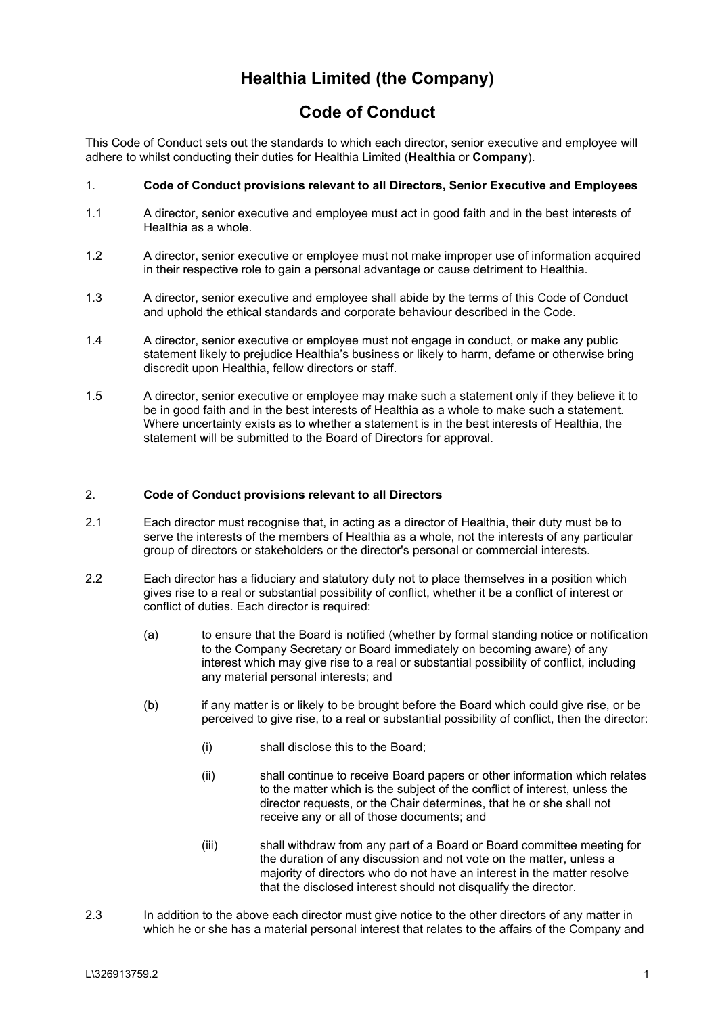## **Healthia Limited (the Company)**

## **Code of Conduct**

This Code of Conduct sets out the standards to which each director, senior executive and employee will adhere to whilst conducting their duties for Healthia Limited (**Healthia** or **Company**).

## 1. **Code of Conduct provisions relevant to all Directors, Senior Executive and Employees**

- 1.1 A director, senior executive and employee must act in good faith and in the best interests of Healthia as a whole.
- 1.2 A director, senior executive or employee must not make improper use of information acquired in their respective role to gain a personal advantage or cause detriment to Healthia.
- 1.3 A director, senior executive and employee shall abide by the terms of this Code of Conduct and uphold the ethical standards and corporate behaviour described in the Code.
- 1.4 A director, senior executive or employee must not engage in conduct, or make any public statement likely to prejudice Healthia's business or likely to harm, defame or otherwise bring discredit upon Healthia, fellow directors or staff.
- 1.5 A director, senior executive or employee may make such a statement only if they believe it to be in good faith and in the best interests of Healthia as a whole to make such a statement. Where uncertainty exists as to whether a statement is in the best interests of Healthia, the statement will be submitted to the Board of Directors for approval.

## 2. **Code of Conduct provisions relevant to all Directors**

- 2.1 Each director must recognise that, in acting as a director of Healthia, their duty must be to serve the interests of the members of Healthia as a whole, not the interests of any particular group of directors or stakeholders or the director's personal or commercial interests.
- 2.2 Each director has a fiduciary and statutory duty not to place themselves in a position which gives rise to a real or substantial possibility of conflict, whether it be a conflict of interest or conflict of duties. Each director is required:
	- (a) to ensure that the Board is notified (whether by formal standing notice or notification to the Company Secretary or Board immediately on becoming aware) of any interest which may give rise to a real or substantial possibility of conflict, including any material personal interests; and
	- (b) if any matter is or likely to be brought before the Board which could give rise, or be perceived to give rise, to a real or substantial possibility of conflict, then the director:
		- (i) shall disclose this to the Board;
		- (ii) shall continue to receive Board papers or other information which relates to the matter which is the subject of the conflict of interest, unless the director requests, or the Chair determines, that he or she shall not receive any or all of those documents; and
		- (iii) shall withdraw from any part of a Board or Board committee meeting for the duration of any discussion and not vote on the matter, unless a majority of directors who do not have an interest in the matter resolve that the disclosed interest should not disqualify the director.
- 2.3 In addition to the above each director must give notice to the other directors of any matter in which he or she has a material personal interest that relates to the affairs of the Company and